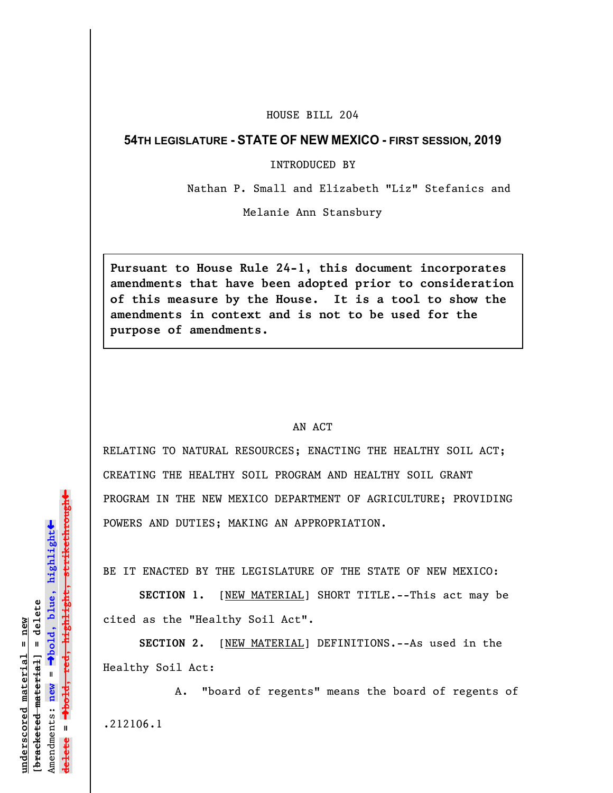## HOUSE BILL 204

## **54TH LEGISLATURE - STATE OF NEW MEXICO - FIRST SESSION, 2019**

INTRODUCED BY

Nathan P. Small and Elizabeth "Liz" Stefanics and

Melanie Ann Stansbury

**Pursuant to House Rule 24-1, this document incorporates amendments that have been adopted prior to consideration of this measure by the House. It is a tool to show the amendments in context and is not to be used for the purpose of amendments.** 

## AN ACT

RELATING TO NATURAL RESOURCES; ENACTING THE HEALTHY SOIL ACT; CREATING THE HEALTHY SOIL PROGRAM AND HEALTHY SOIL GRANT PROGRAM IN THE NEW MEXICO DEPARTMENT OF AGRICULTURE; PROVIDING POWERS AND DUTIES; MAKING AN APPROPRIATION.

BE IT ENACTED BY THE LEGISLATURE OF THE STATE OF NEW MEXICO:

**SECTION 1.** [NEW MATERIAL] SHORT TITLE.--This act may be cited as the "Healthy Soil Act".

**SECTION 2.** [NEW MATERIAL] DEFINITIONS.--As used in the Healthy Soil Act:

A. "board of regents" means the board of regents of .212106.1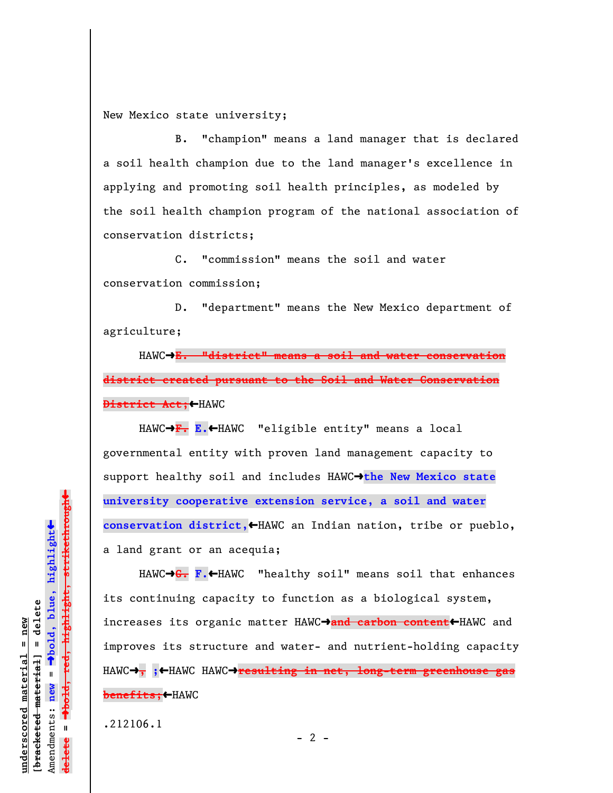New Mexico state university;

B. "champion" means a land manager that is declared a soil health champion due to the land manager's excellence in applying and promoting soil health principles, as modeled by the soil health champion program of the national association of conservation districts;

C. "commission" means the soil and water conservation commission;

D. "department" means the New Mexico department of agriculture;

HAWC<sup>+</sup>**E.** "district" means a soil and water conservation **district created pursuant to the Soil and Water Conservation District Act;**HAWC

HAWC→F. E.←HAWC "eligible entity" means a local governmental entity with proven land management capacity to support healthy soil and includes HAWC<sup>+</sup>the New Mexico state **university cooperative extension service, a soil and water** conservation district, HAWC an Indian nation, tribe or pueblo, a land grant or an acequia;

HAWC<sup>+</sup>S. F.+HAWC "healthy soil" means soil that enhances its continuing capacity to function as a biological system, increases its organic matter HAWC $\rightarrow$ and carbon content<HAWC and improves its structure and water- and nutrient-holding capacity HAWC→<sub>7</sub> ;←HAWC HAWC→resulting in net, long-term greenhouse gas **benefits;←HAWC** 

.212106.1

º**bold, red, highlight, strikethrough**  $\ddot{\bullet}$ º**bold, blue, highlight** bracketed material] = delete **[bracketed material] = delete** inderscored material = new **underscored material = new** Amendments: new = Amendments: **new** = **delete =** lelete

 $\ddag$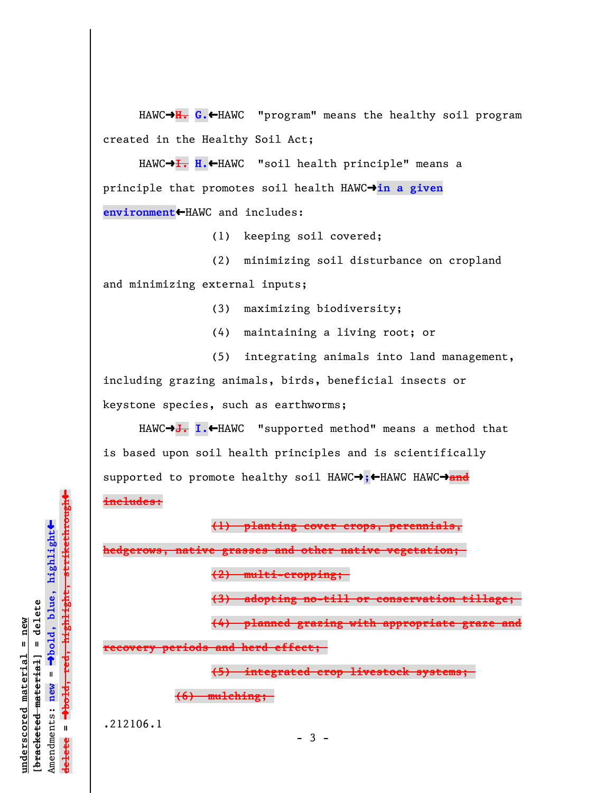HAWC→H. G.←HAWC "program" means the healthy soil program created in the Healthy Soil Act;

HAWC→<del>I.</del> H.←HAWC "soil health principle" means a principle that promotes soil health HAWC<sup>+</sup>in a given **environment**»HAWC and includes:

(1) keeping soil covered;

(2) minimizing soil disturbance on cropland and minimizing external inputs;

(3) maximizing biodiversity;

(4) maintaining a living root; or

(5) integrating animals into land management, including grazing animals, birds, beneficial insects or keystone species, such as earthworms;

HAWC→J. I.←HAWC "supported method" means a method that is based upon soil health principles and is scientifically supported to promote healthy soil HAWC $\rightarrow$ ; HAWC HAWC $\rightarrow$ and **includes:**

**(1) planting cover crops, perennials,**

**hedgerows, native grasses and other native vegetation;** 

**(2) multi-cropping;** 

**(3) adopting no-till or conservation tillage;** 

**(4) planned grazing with appropriate graze and**

**recovery periods and herd effect;** 

**(5) integrated crop livestock systems;** 

**(6) mulching;** 

.212106.1

**underscored material = new [bracketed material] = delete**

bracketed material] = delete inderscored material = new

Amendments: **new** =

Amendments: new

 $\mathbf{I}$ 

**delete =**

lelete

º**bold, blue, highlight**

º**bold, red, highlight, strikethrough**

 $\ddot{\bullet}$ 

 $\ddag$ 

 $-3 -$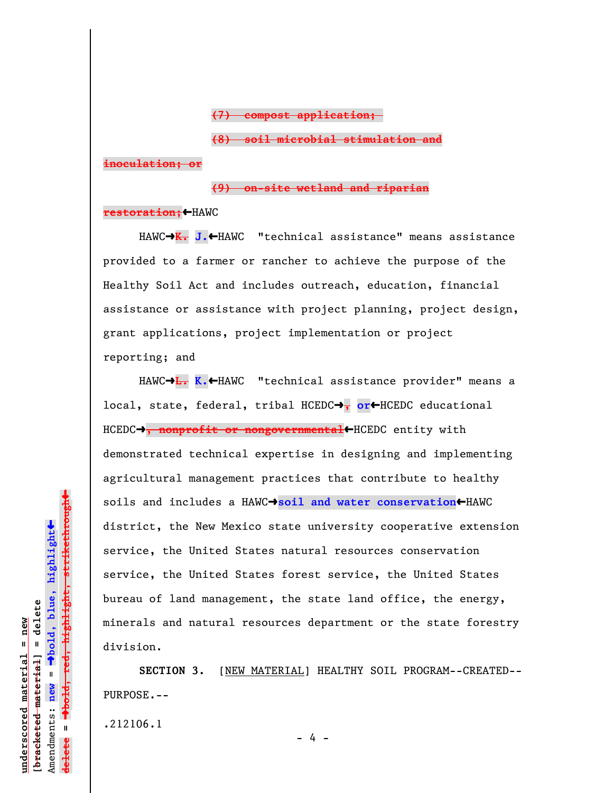**(7) compost application;** 

**(8) soil microbial stimulation and**

**inoculation; or**

**(9) on-site wetland and riparian**

**restoration;**»HAWC

HAWC→K. J.←HAWC "technical assistance" means assistance provided to a farmer or rancher to achieve the purpose of the Healthy Soil Act and includes outreach, education, financial assistance or assistance with project planning, project design, grant applications, project implementation or project reporting; and

HAWC→<del>L.</del> K.←HAWC "technical assistance provider" means a local, state, federal, tribal HCEDC→, or←HCEDC educational HCEDC<sup>+</sup>, nonprofit or nongovernmental<sup>+</sup>HCEDC entity with demonstrated technical expertise in designing and implementing agricultural management practices that contribute to healthy soils and includes a HAWC $\rightarrow$ soil and water conservation $\leftarrow$ HAWC district, the New Mexico state university cooperative extension service, the United States natural resources conservation service, the United States forest service, the United States bureau of land management, the state land office, the energy, minerals and natural resources department or the state forestry division.

**SECTION 3.** [NEW MATERIAL] HEALTHY SOIL PROGRAM--CREATED-- PURPOSE.--

.212106.1

 $\ddag$ º**bold, red, highlight, strikethrough**  $\ddot{\bullet}$ º**bold, blue, highlight**  $b$ racketed material] = delete **[bracketed material] = delete** inderscored material = new **underscored material = new** Amendments: **new** =  $\bar{\mathbf{u}}$ Amendments: new **delete =**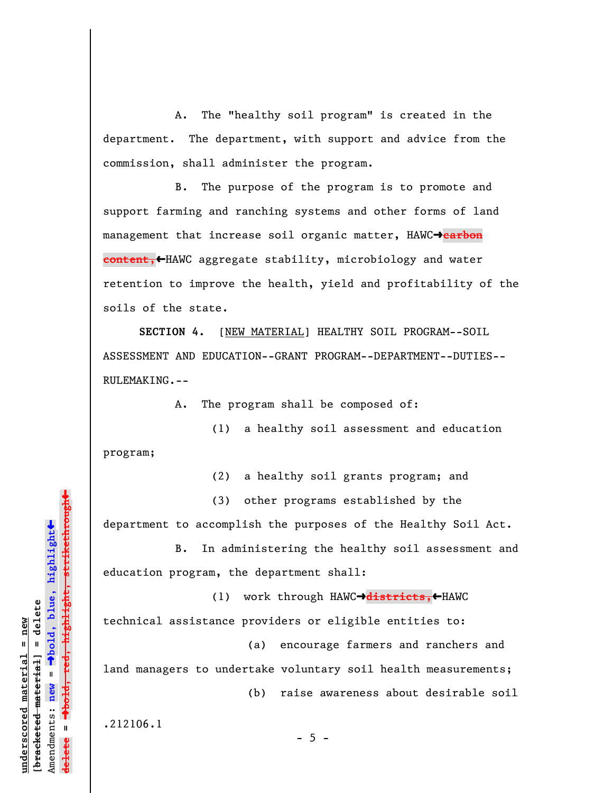A. The "healthy soil program" is created in the department. The department, with support and advice from the commission, shall administer the program.

B. The purpose of the program is to promote and support farming and ranching systems and other forms of land management that increase soil organic matter, HAWC<sup>+</sup>carbon **content,** HAWC aggregate stability, microbiology and water retention to improve the health, yield and profitability of the soils of the state.

**SECTION 4.** [NEW MATERIAL] HEALTHY SOIL PROGRAM--SOIL ASSESSMENT AND EDUCATION--GRANT PROGRAM--DEPARTMENT--DUTIES-- RULEMAKING.--

A. The program shall be composed of:

(1) a healthy soil assessment and education program;

(2) a healthy soil grants program; and

(3) other programs established by the department to accomplish the purposes of the Healthy Soil Act.

B. In administering the healthy soil assessment and education program, the department shall:

(1) work through HAWC→districts,←HAWC

technical assistance providers or eligible entities to:

(a) encourage farmers and ranchers and land managers to undertake voluntary soil health measurements; (b) raise awareness about desirable soil

.212106.1

 $- 5 -$ 

»º**bold, red, highlight, strikethrough** highlight, strikethrou  $\ddot{\bullet}$ º**bold, blue, highlight** bracketed material] = delete **[bracketed material] = delete** mderscored material = new **underscored material = new** Amendments: **new** =  $\mathbf{u}$ Amendments: new **delete =**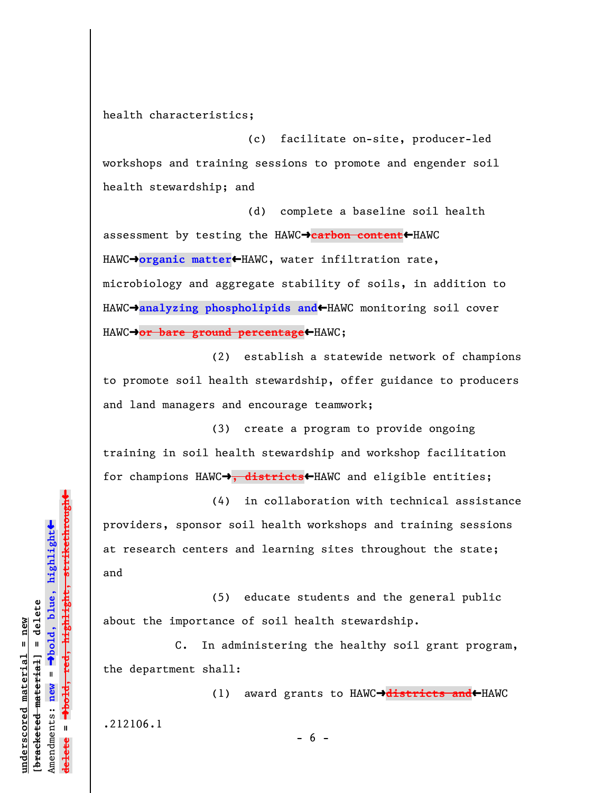health characteristics;

(c) facilitate on-site, producer-led workshops and training sessions to promote and engender soil health stewardship; and

(d) complete a baseline soil health assessment by testing the HAWC<sup>+</sup>carbon content<sup>+</sup>HAWC HAWC<sup>+</sup>organic matter<sup>+</sup>HAWC, water infiltration rate, microbiology and aggregate stability of soils, in addition to HAWC<sup>+</sup>analyzing phospholipids and<sup>+</sup>HAWC monitoring soil cover HAWC<sup>-</sup>or bare ground percentage<sup>+</sup>HAWC;

(2) establish a statewide network of champions to promote soil health stewardship, offer guidance to producers and land managers and encourage teamwork;

(3) create a program to provide ongoing training in soil health stewardship and workshop facilitation for champions HAWC<del>+, districts←</del>HAWC and eligible entities;

(4) in collaboration with technical assistance providers, sponsor soil health workshops and training sessions at research centers and learning sites throughout the state; and

(5) educate students and the general public about the importance of soil health stewardship.

C. In administering the healthy soil grant program, the department shall:

(1) award grants to HAWC→districts and←HAWC .212106.1

**underscored material = new [bracketed material] = delete**

bracketed material] = delete mderscored material = new

Amendments: **new** =

Amendments: new

 $\bar{\mathbf{u}}$ 

**delete =**

lelete

º**bold, blue, highlight**

º**bold, red, highlight, strikethrough**

 $\ddot{\bullet}$ 

 $\ddag$ 

 $- 6 -$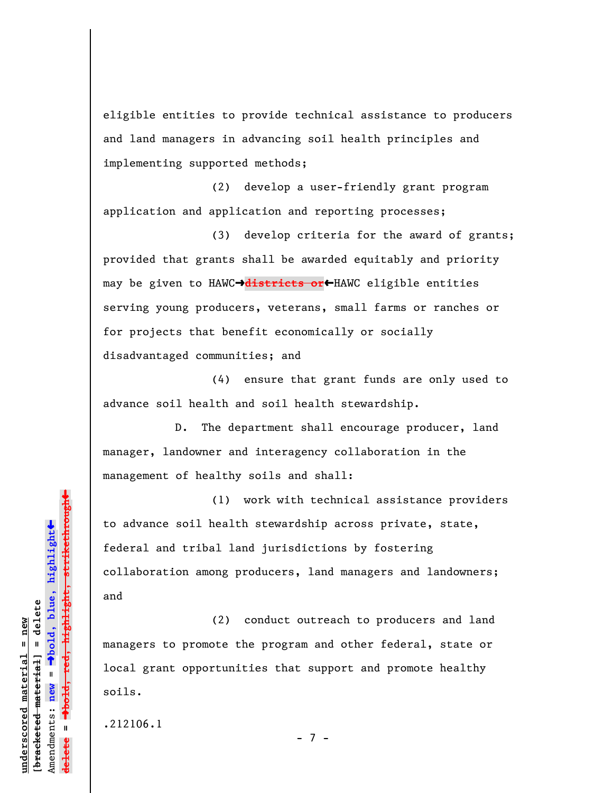eligible entities to provide technical assistance to producers and land managers in advancing soil health principles and implementing supported methods;

(2) develop a user-friendly grant program application and application and reporting processes;

(3) develop criteria for the award of grants; provided that grants shall be awarded equitably and priority may be given to HAWC<sup>+</sup>districts or<HAWC eligible entities serving young producers, veterans, small farms or ranches or for projects that benefit economically or socially disadvantaged communities; and

(4) ensure that grant funds are only used to advance soil health and soil health stewardship.

D. The department shall encourage producer, land manager, landowner and interagency collaboration in the management of healthy soils and shall:

(1) work with technical assistance providers to advance soil health stewardship across private, state, federal and tribal land jurisdictions by fostering collaboration among producers, land managers and landowners; and

(2) conduct outreach to producers and land managers to promote the program and other federal, state or local grant opportunities that support and promote healthy soils.

- 7 -

.212106.1

º**bold, red, highlight, strikethrough**  $\ddot{\bullet}$ º**bold, blue, highlight** bracketed material] = delete **[bracketed material] = delete** inderscored material = new **underscored material = new** Amendments: **new** =  $\mathbf{I}$ Amendments: new **delete =**

»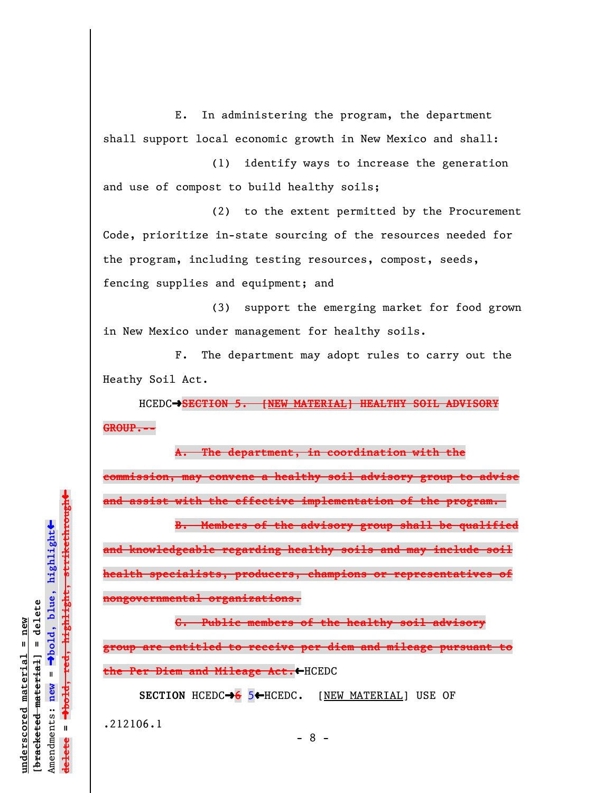E. In administering the program, the department shall support local economic growth in New Mexico and shall:

(1) identify ways to increase the generation and use of compost to build healthy soils;

(2) to the extent permitted by the Procurement Code, prioritize in-state sourcing of the resources needed for the program, including testing resources, compost, seeds, fencing supplies and equipment; and

(3) support the emerging market for food grown in New Mexico under management for healthy soils.

F. The department may adopt rules to carry out the Heathy Soil Act.

HCEDCº**SECTION 5. [NEW MATERIAL] HEALTHY SOIL ADVISORY GROUP.--**

**A. The department, in coordination with the commission, may convene a healthy soil advisory group to advise and assist with the effective implementation of the program.** 

**B. Members of the advisory group shall be qualified and knowledgeable regarding healthy soils and may include soil health specialists, producers, champions or representatives of nongovernmental organizations.**

**C. Public members of the healthy soil advisory group are entitled to receive per diem and mileage pursuant to** the Per Diem and Mileage Act. HICEDC

**SECTION HCEDC→6** 5←HCEDC. [NEW MATERIAL] USE OF

.212106.1

**underscored material = new [bracketed material] = delete**

bracketed material] = delete inderscored material = new

Amendments: **new** =

Amendments: new  $\mathbf{I}$ 

 $\bar{\mathbf{u}}$ 

**delete =**

lelete

º**bold, blue, highlight**

º**bold, red, highlight, strikethrough**

 $\ddot{\bullet}$ 

 $\ddag$